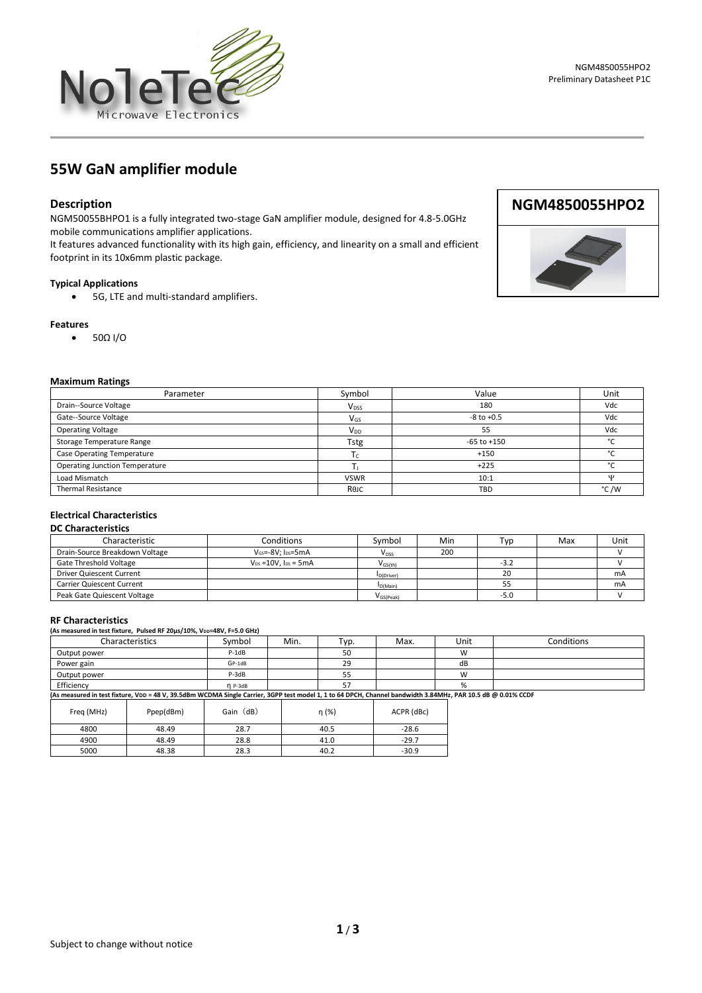

# **55W GaN amplifier module**

# **Description**

NGM50055BHPO1 is a fully integrated two-stage GaN amplifier module, designed for 4.8-5.0GHz mobile communications amplifier applications.

It features advanced functionality with its high gain, efficiency, and linearity on a small and efficient footprint in its 10x6mm plastic package.

#### **Typical Applications**

• 5G, LTE and multi-standard amplifiers.

#### **Features**

• 50Ω I/O

#### **Maximum Ratings**

| .                                     |                         |                 |         |
|---------------------------------------|-------------------------|-----------------|---------|
| Parameter                             | Symbol                  | Value           | Unit    |
| Drain--Source Voltage                 | <b>V</b> <sub>DSS</sub> | 180             | Vdc     |
| Gate--Source Voltage                  | $V_{GS}$                | $-8$ to $+0.5$  | Vdc     |
| <b>Operating Voltage</b>              | $V_{DD}$                | 55              | Vdc     |
| Storage Temperature Range             | Tstg                    | $-65$ to $+150$ | $\circ$ |
| Case Operating Temperature            | $\mathsf{L}$            | $+150$          | $\sim$  |
| <b>Operating Junction Temperature</b> |                         | $+225$          | $\sim$  |
| Load Mismatch                         | <b>VSWR</b>             | 10:1            | w       |
| <b>Thermal Resistance</b>             | Rejc                    | <b>TBD</b>      | °C/W    |

#### **Electrical Characteristics**

| <b>DC Characteristics</b> |  |
|---------------------------|--|
|---------------------------|--|

| Characteristic                 | Conditions                             | Symbol         | Min | Typ    | Max | Unit |
|--------------------------------|----------------------------------------|----------------|-----|--------|-----|------|
| Drain-Source Breakdown Voltage | $V$ <sub>GS</sub> =- $8V: I_{DS}$ =5mA | $V_{DSS}$      | 200 |        |     |      |
| Gate Threshold Voltage         | $V_{DS} = 10V$ . $I_{DS} = 5mA$        | $V_{GS(th)}$   |     | $-3.2$ |     |      |
| Driver Quiescent Current       |                                        | D(Driver)      |     | 20     |     | mA   |
| Carrier Quiescent Current      |                                        | D(Main)        |     |        |     | mA   |
| Peak Gate Quiescent Voltage    |                                        | $V_{GS(Peak)}$ |     | -5.0   |     |      |

#### **RF Characteristics**

**(As measured in test fixture, Pulsed RF 20µs/10%, VDD=48V, F=5.0 GHz)**

| Characteristics | Symbol    | Min. | тур. | Max. | Unit       | Conditions |
|-----------------|-----------|------|------|------|------------|------------|
| Output power    | P-1dB     |      | 50   |      | <b>181</b> |            |
| Power gain      | $GP-1dB$  |      | 29   |      | dB         |            |
| Output power    | P-3dB     |      | ر ر  |      | <b>A</b>   |            |
| Efficiency      | $n$ P-3dB |      |      |      |            |            |

Efficiency η P-3dB 57 % **(As measured in test fixture, VDD = 48 V, 39.5dBm WCDMA Single Carrier, 3GPP test model 1, 1 to 64 DPCH, Channel bandwidth 3.84MHz, PAR 10.5 dB @ 0.01% CCDF**

| Freq (MHz) | Ppep(dBm) | Gain (dB) | η (%) | ACPR (dBc) |
|------------|-----------|-----------|-------|------------|
| 4800       | 48.49     | 28.7      | 40.5  | $-28.6$    |
| 4900       | 48.49     | 28.8      | 41.0  | $-29.7$    |
| 5000       | 48.38     | 28.3      | 40.2  | $-30.9$    |





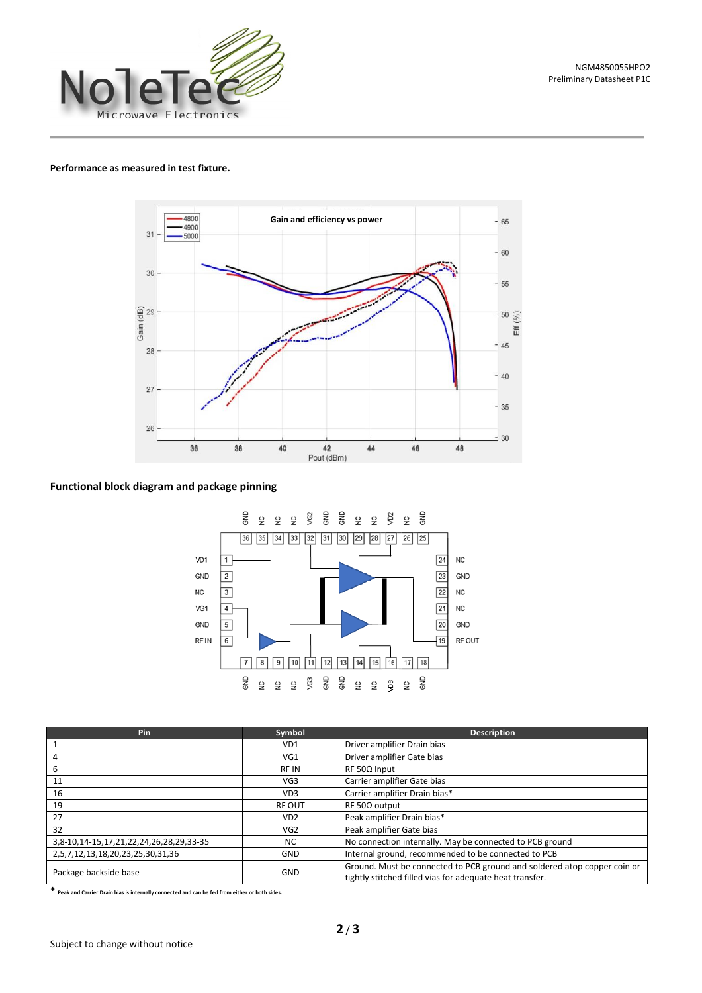

#### **Performance as measured in test fixture.**



### **Functional block diagram and package pinning**



| Pin                                     | Symbol          | <b>Description</b>                                                                                                                   |  |  |
|-----------------------------------------|-----------------|--------------------------------------------------------------------------------------------------------------------------------------|--|--|
|                                         | VD1             | Driver amplifier Drain bias                                                                                                          |  |  |
| 4                                       | VG1             | Driver amplifier Gate bias                                                                                                           |  |  |
| 6                                       | <b>RFIN</b>     | $RF 50\Omega$ Input                                                                                                                  |  |  |
| 11                                      | VG <sub>3</sub> | Carrier amplifier Gate bias                                                                                                          |  |  |
| 16                                      | VD <sub>3</sub> | Carrier amplifier Drain bias*                                                                                                        |  |  |
| 19                                      | <b>RF OUT</b>   | $RF 50\Omega$ output                                                                                                                 |  |  |
| 27                                      | VD <sub>2</sub> | Peak amplifier Drain bias*                                                                                                           |  |  |
| 32                                      | VG <sub>2</sub> | Peak amplifier Gate bias                                                                                                             |  |  |
| 3,8-10,14-15,17,21,22,24,26,28,29,33-35 | <b>NC</b>       | No connection internally. May be connected to PCB ground                                                                             |  |  |
| 2,5,7,12,13,18,20,23,25,30,31,36        | <b>GND</b>      | Internal ground, recommended to be connected to PCB                                                                                  |  |  |
| Package backside base                   | <b>GND</b>      | Ground. Must be connected to PCB ground and soldered atop copper coin or<br>tightly stitched filled vias for adequate heat transfer. |  |  |

**\* Peak and Carrier Drain bias is internally connected and can be fed from either or both sides.**